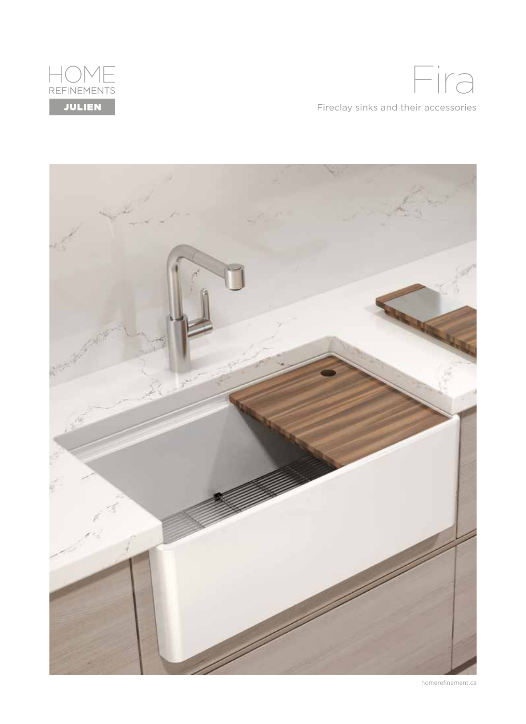

Fireclay sinks and their accessories Fira



homerefinement.ca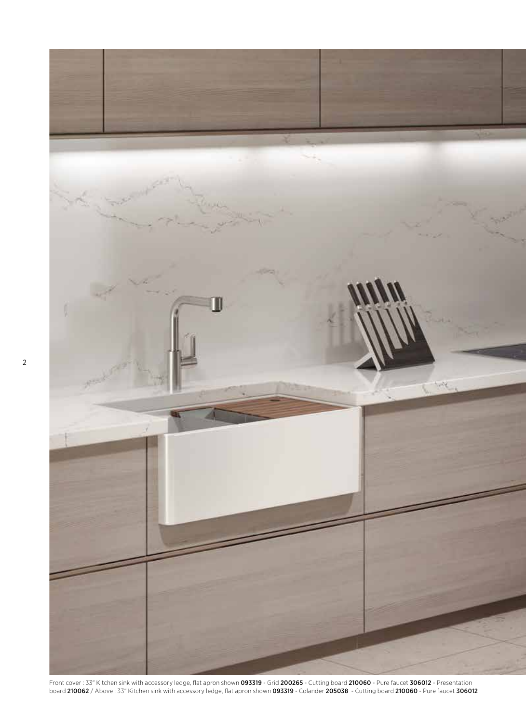

Front cover : 33" Kitchen sink with accessory ledge, flat apron shown 093319 - Grid 200265 - Cutting board 210060 - Pure faucet 306012 - Presentation board 210062 / Above : 33" Kitchen sink with accessory ledge, flat apron shown 093319 - Colander 205038 - Cutting board 210060 - Pure faucet 306012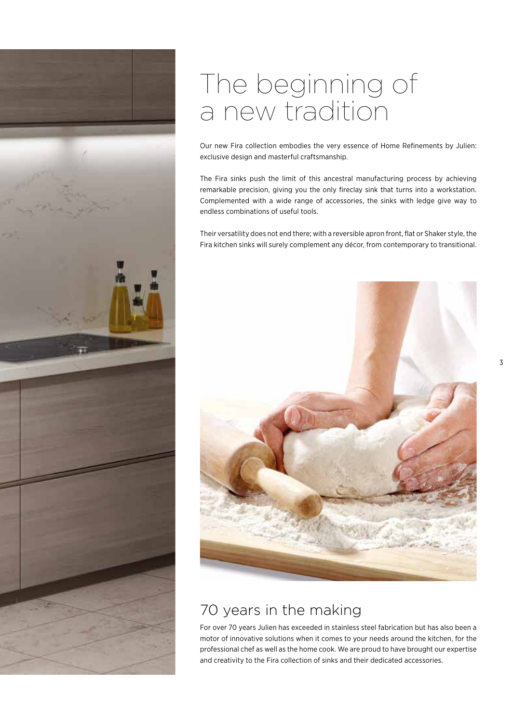

## The beginning of a new tradition

Our new Fira collection embodies the very essence of Home Refinements by Julien: exclusive design and masterful craftsmanship.

The Fira sinks push the limit of this ancestral manufacturing process by achieving remarkable precision, giving you the only fireclay sink that turns into a workstation. Complemented with a wide range of accessories, the sinks with ledge give way to endless combinations of useful tools.

Their versatility does not end there; with a reversible apron front, flat or Shaker style, the Fira kitchen sinks will surely complement any décor, from contemporary to transitional.



### 70 years in the making

For over 70 years Julien has exceeded in stainless steel fabrication but has also been a motor of innovative solutions when it comes to your needs around the kitchen, for the professional chef as well as the home cook. We are proud to have brought our expertise and creativity to the Fira collection of sinks and their dedicated accessories.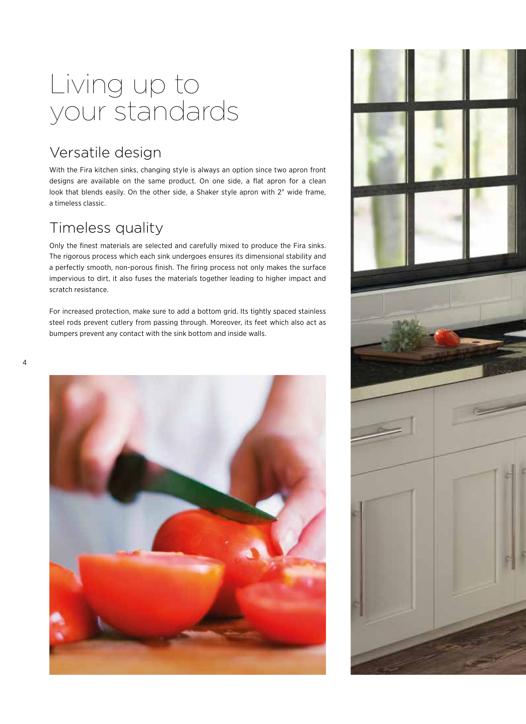## Living up to your standards

### Versatile design

With the Fira kitchen sinks, changing style is always an option since two apron front designs are available on the same product. On one side, a flat apron for a clean look that blends easily. On the other side, a Shaker style apron with 2" wide frame, a timeless classic.

### Timeless quality

Only the finest materials are selected and carefully mixed to produce the Fira sinks. The rigorous process which each sink undergoes ensures its dimensional stability and a perfectly smooth, non-porous finish. The firing process not only makes the surface impervious to dirt, it also fuses the materials together leading to higher impact and scratch resistance.

For increased protection, make sure to add a bottom grid. Its tightly spaced stainless steel rods prevent cutlery from passing through. Moreover, its feet which also act as bumpers prevent any contact with the sink bottom and inside walls.



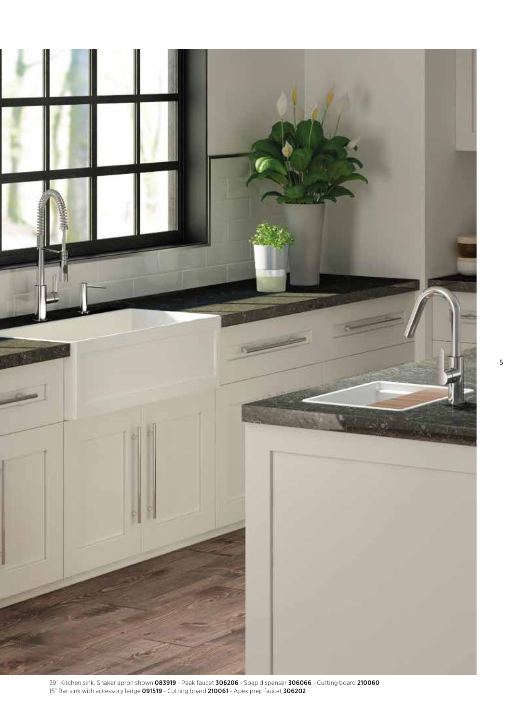

39" Kitchen sink, Shaker apron shown 083919 - Peak faucet 306206 - Soap dispenser 306066 - Cutting board 210060 15" Bar sink with accessory ledge 091519 - Cutting board 210061 - Apex prep faucet 306202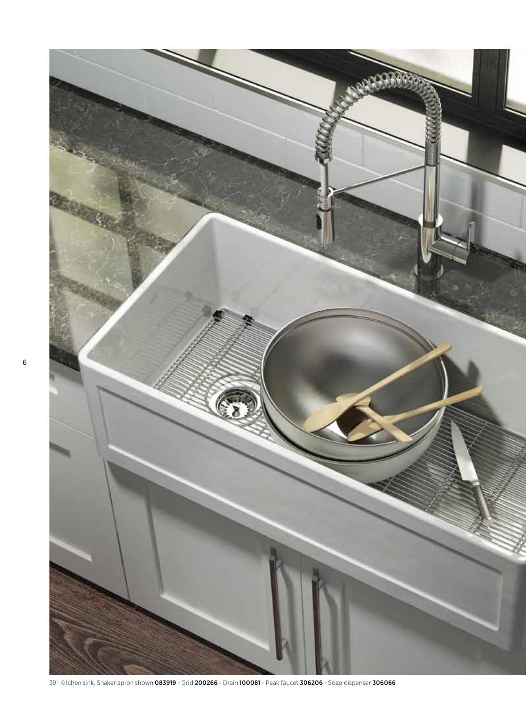

39" Kitchen sink, Shaker apron shown 083919 - Grid 200266 - Drain 100081 - Peak faucet 306206 - Soap dispenser 306066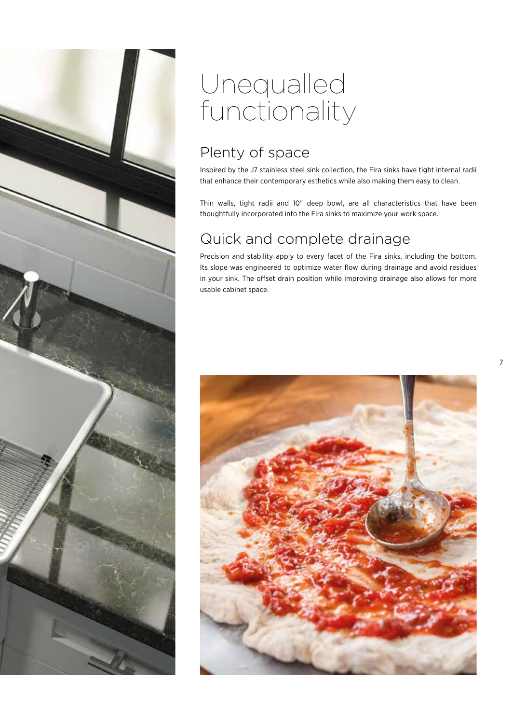

## Unequalled functionality

## Plenty of space

Inspired by the J7 stainless steel sink collection, the Fira sinks have tight internal radii that enhance their contemporary esthetics while also making them easy to clean.

Thin walls, tight radii and 10" deep bowl, are all characteristics that have been thoughtfully incorporated into the Fira sinks to maximize your work space.

## Quick and complete drainage

Precision and stability apply to every facet of the Fira sinks, including the bottom. Its slope was engineered to optimize water flow during drainage and avoid residues in your sink. The offset drain position while improving drainage also allows for more usable cabinet space.

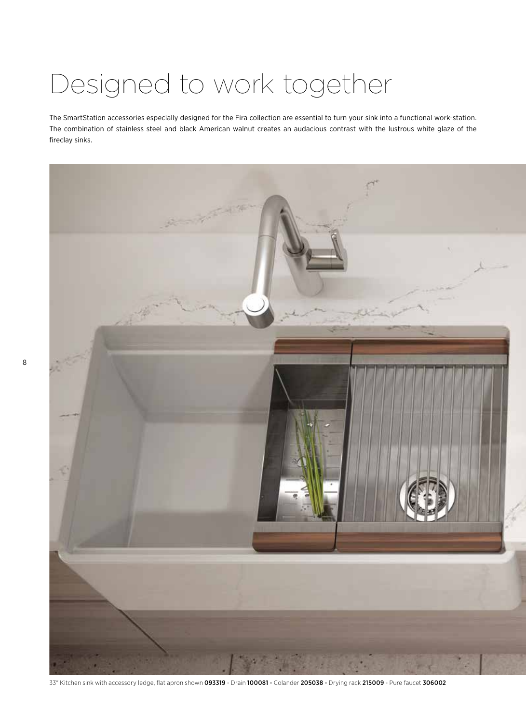## Designed to work together

The SmartStation accessories especially designed for the Fira collection are essential to turn your sink into a functional work-station. The combination of stainless steel and black American walnut creates an audacious contrast with the lustrous white glaze of the fireclay sinks.



33" Kitchen sink with accessory ledge, flat apron shown 093319 - Drain 100081 - Colander 205038 - Drying rack 215009 - Pure faucet 306002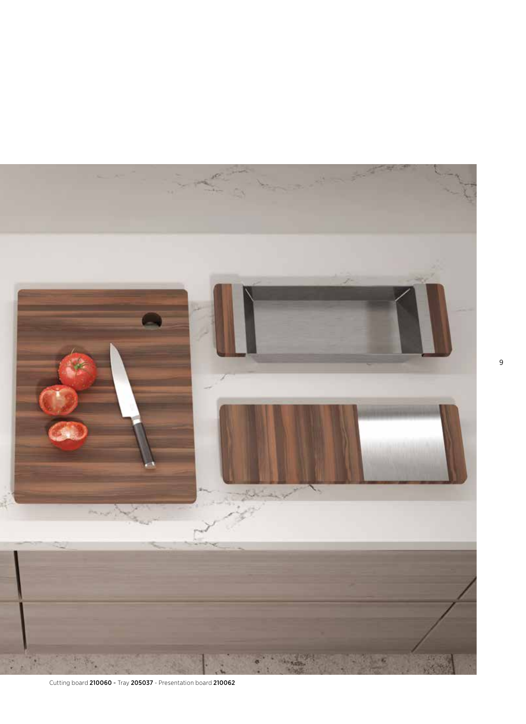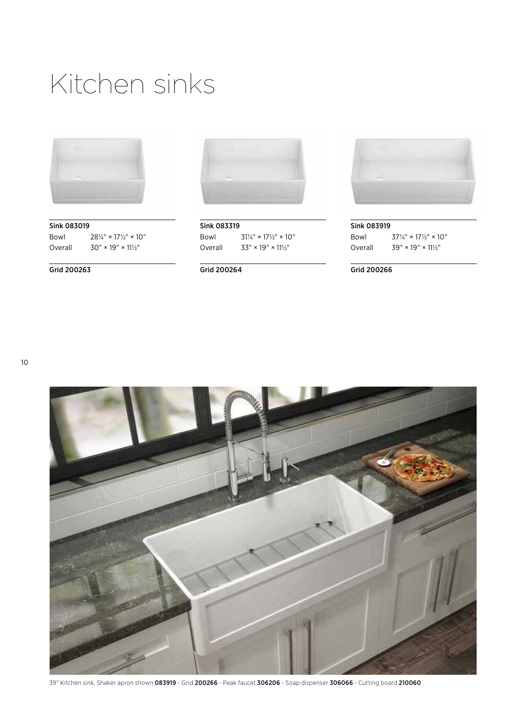## Kitchen sinks



Sink 083019 Bowl  $28\frac{1}{4}$ " × 17 $\frac{1}{2}$ " × 10" Overall  $30'' \times 19'' \times 11\frac{1}{2}$ 

Grid 200263



Sink 083319 Bowl  $31\frac{1}{4}$ " × 17 $\frac{1}{2}$ " × 10" Overall  $33'' \times 19'' \times 11\frac{1}{2}$ 

Grid 200264



Sink 083919 Bowl  $37\frac{1}{4}$ " × 17 $\frac{1}{2}$ " × 10" Overall  $39'' \times 19'' \times 11\frac{1}{2}$ 

#### Grid 200266



39" Kitchen sink, Shaker apron shown 083919 - Grid 200266 - Peak faucet 306206 - Soap dispenser 306066 - Cutting board 210060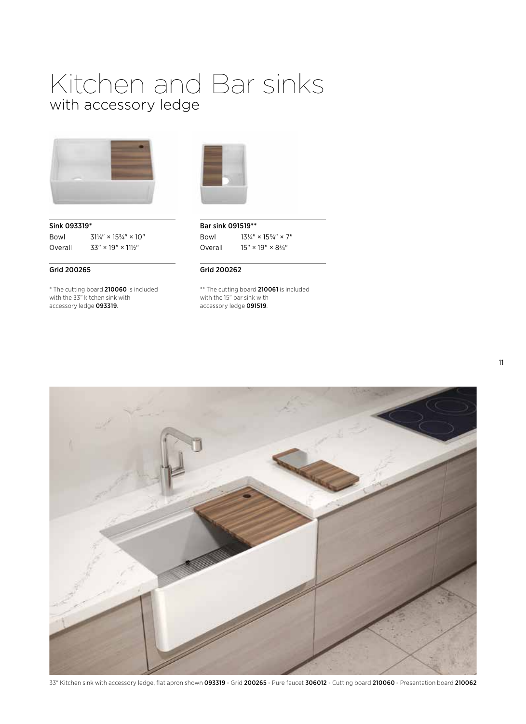## Kitchen and Bar sinks with accessory ledge



Sink 093319\* Bowl  $31\frac{1}{4}$ " ×  $15\frac{3}{4}$ " × 10" Overall  $33'' \times 19'' \times 11\frac{1}{2}$ 

#### Grid 200265

\* The cutting board 210060 is included with the 33" kitchen sink with accessory ledge 093319.



Bar sink 091519\*\* Bowl  $13\frac{1}{4}$ " ×  $15\frac{3}{4}$ " × 7" Overall  $15'' \times 19'' \times 834''$ 

#### Grid 200262

\*\* The cutting board 210061 is included with the 15" bar sink with accessory ledge 091519.



33" Kitchen sink with accessory ledge, flat apron shown 093319 - Grid 200265 - Pure faucet 306012 - Cutting board 210060 - Presentation board 210062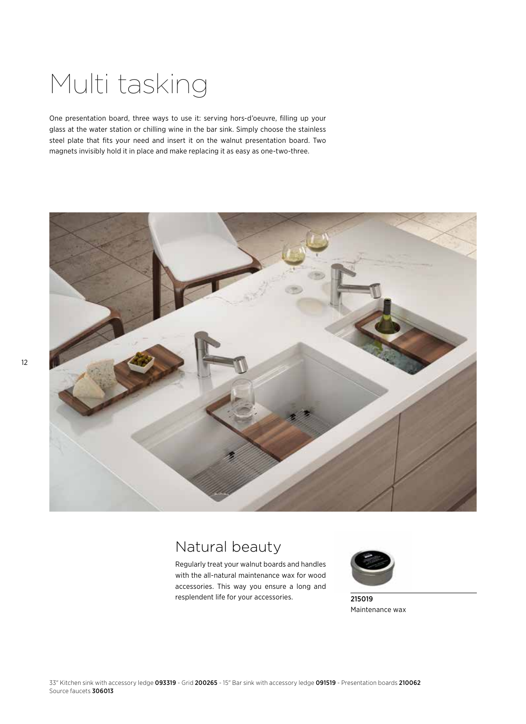## Multi tasking

One presentation board, three ways to use it: serving hors-d'oeuvre, filling up your glass at the water station or chilling wine in the bar sink. Simply choose the stainless steel plate that fits your need and insert it on the walnut presentation board. Two magnets invisibly hold it in place and make replacing it as easy as one-two-three.



## Natural beauty

Regularly treat your walnut boards and handles with the all-natural maintenance wax for wood accessories. This way you ensure a long and resplendent life for your accessories.



215019 Maintenance wax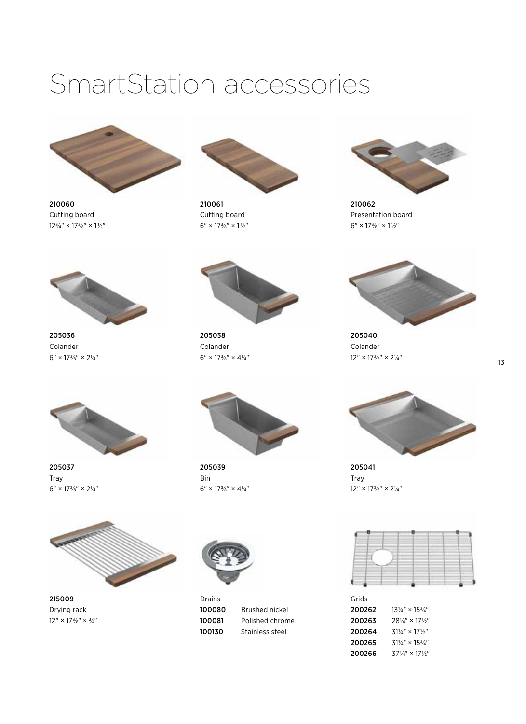## SmartStation accessories



210060 Cutting board  $12\frac{3}{4}$ " ×  $17\frac{3}{8}$ " ×  $1\frac{1}{2}$ "



210061 Cutting board  $6''\times17\%''\times1\frac{1}{2}''$ 



210062 Presentation board  $6'' \times 17\frac{3}{8}'' \times 1\frac{1}{2}''$ 



205036 Colander  $6'' \times 17\frac{3}{8}'' \times 2\frac{1}{4}''$ 



205038 Colander  $6'' \times 17\frac{3}{8}'' \times 4\frac{1}{4}''$ 



205040 Colander  $12'' \times 17\frac{3}{8}'' \times 2\frac{1}{4}''$ 



205037 Tray  $6'' \times 17\frac{3}{8}'' \times 2\frac{1}{4}''$ 



205039 Bin  $6'' \times 17\frac{3}{8}'' \times 4\frac{1}{4}''$ 



205041 Tray  $12'' \times 17\frac{3}{8}'' \times 2\frac{1}{4}''$ 



215009 Drying rack  $12'' \times 17\frac{3}{8}'' \times \frac{3}{4}''$ 



**Drains** 100080 Brushed nickel 100081 Polished chrome 100130 Stainless steel

| Grids  |                                        |
|--------|----------------------------------------|
| 200262 | $13\frac{1}{4}$ " × $15\frac{3}{4}$ "  |
| 200263 | $28\frac{1}{4}$ " × 17 $\frac{1}{2}$ " |
| 200264 | $31\frac{1}{4}$ × 17 $\frac{1}{5}$     |
| 200265 | $31\frac{1}{4}$ " × $15\frac{3}{4}$ "  |
| 200266 | $37\frac{1}{4}$ " × 17 $\frac{1}{2}$ " |
|        |                                        |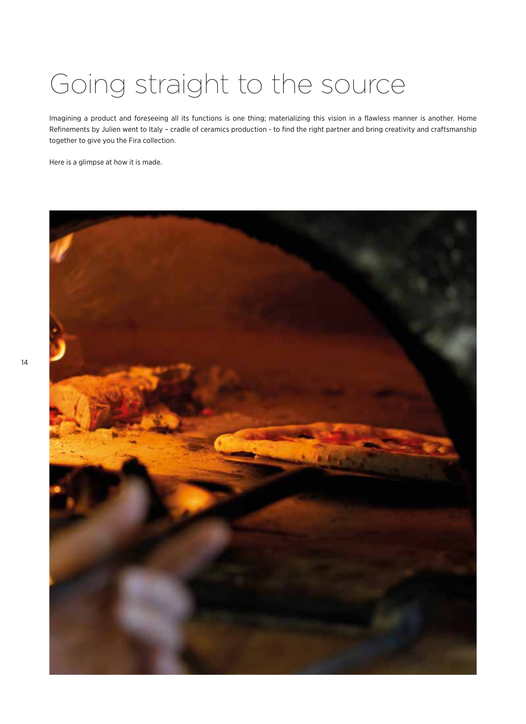# Going straight to the source

Imagining a product and foreseeing all its functions is one thing; materializing this vision in a flawless manner is another. Home Refinements by Julien went to Italy – cradle of ceramics production - to find the right partner and bring creativity and craftsmanship together to give you the Fira collection.

Here is a glimpse at how it is made.

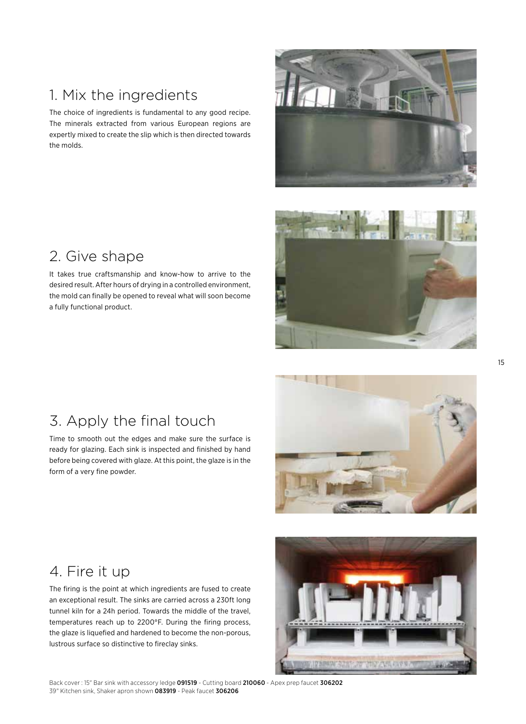## 1. Mix the ingredients

The choice of ingredients is fundamental to any good recipe. The minerals extracted from various European regions are expertly mixed to create the slip which is then directed towards the molds.



### 2. Give shape

It takes true craftsmanship and know-how to arrive to the desired result. After hours of drying in a controlled environment, the mold can finally be opened to reveal what will soon become a fully functional product.



### 3. Apply the final touch

Time to smooth out the edges and make sure the surface is ready for glazing. Each sink is inspected and finished by hand before being covered with glaze. At this point, the glaze is in the form of a very fine powder.



### 4. Fire it up

The firing is the point at which ingredients are fused to create an exceptional result. The sinks are carried across a 230ft long tunnel kiln for a 24h period. Towards the middle of the travel, temperatures reach up to 2200°F. During the firing process, the glaze is liquefied and hardened to become the non-porous, lustrous surface so distinctive to fireclay sinks.